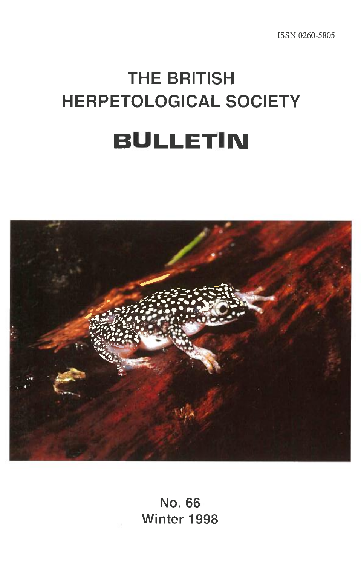# **THE BRITISH HERPETOLOGICAL SOCIETY BULLETIN**



**No. 66 Winter 1998**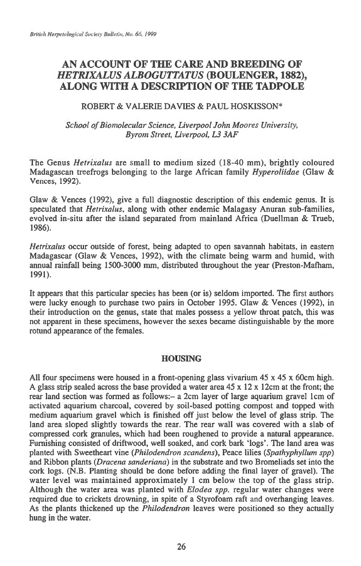# **AN ACCOUNT OF THE CARE AND BREEDING OF**  *HETRIXALUS ALBOGUTTATUS* **(BOULENGER, 1882), ALONG WITH A DESCRIPTION OF THE TADPOLE**

# ROBERT & VALERIE DAVIES & PAUL HOSKISSON\*

# *School of Biomolecular Science, Liverpool John Moores University, Byrom Street, Liverpool, L3 3AF*

The Genus *Hetrixalus are* small to medium sized (18-40 mm), brightly coloured Madagascan treefrogs belonging to the large African family *Hyperoliidae* (Glaw & Vences, 1992).

Glaw & Vences (1992), give a full diagnostic description of this endemic genus. It is speculated that *Hetrixalus,* along with other endemic Malagasy Anuran sub-families, evolved in-situ after the island separated from mainland Africa (Duellman & Trueb, 1986).

*Hetrixalus* occur outside of forest, being adapted to open savannah habitats, in eastern Madagascar (Glaw & Vences, 1992), with the climate being warm and humid, with annual rainfall being 1500-3000 mm, distributed throughout the year (Preston-Mafham, 1991).

It appears that this particular species has been (or is) seldom imported. The first authors were lucky enough to purchase two pairs in October 1995. Glaw & Vences (1992), in their introduction on the genus, state that males possess a yellow throat patch, this was not apparent in these specimens, however the sexes became distinguishable by the more rotund appearance of the females.

# HOUSING

All four specimens were housed in a front-opening glass vivarium  $45 \times 45 \times 60$ cm high. A glass strip sealed across the base provided a water area  $45 \times 12 \times 12$ cm at the front; the rear land section was formed as follows:- a 2cm layer of large aquarium gravel 1cm of activated aquarium charcoal, covered by soil-based potting compost and topped with medium aquarium gravel which is finished off just below the level of glass strip. The land area sloped slightly towards the rear. The rear wall was covered with a slab of compressed cork granules, which had been roughened to provide a natural appearance. Furnishing consisted of driftwood, well soaked, and cork bark 'logs'. The land area was planted with Sweetheart vine *(Philodendron scandens),* Peace lilies *(Spathyphyllum spp)*  and Ribbon plants *(Dracena sanderiana) in* the substrate and two Bromeliads set into the cork logs. (N.B. Planting should be done before adding the final layer of gravel). The water level was maintained approximately 1 cm below the top of the glass strip. Although the water area was planted with *Elodea spp.* regular water changes were required due to crickets drowning, in spite of a Styrofoam raft and overhanging leaves. As the plants thickened up the *Philodendron* leaves were positioned so they actually hung in the water.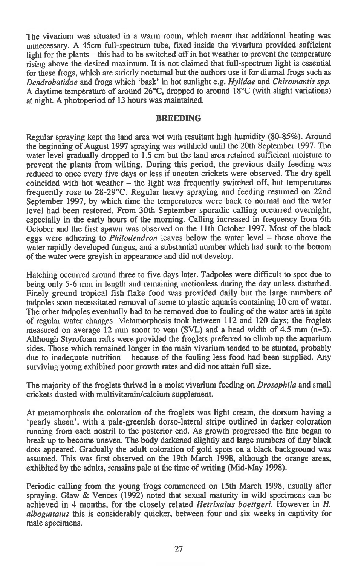The vivarium was situated in a warm room, which meant that additional heating was unnecessary. A 45cm full-spectrum tube, fixed inside the vivarium provided sufficient light for the plants — this had to be switched off in hot weather to prevent the temperature rising above the desired maximum. It is not claimed that full-spectrum light is essential for these frogs, which are strictly nocturnal but the authors use it for diurnal frogs such as *Dendrobatidae* and frogs which 'bask' in hot sunlight e.g. *Hylidae* and *Chiromantis spp.*  A daytime temperature of around 26°C, dropped to around 18°C (with slight variations) at night. A photoperiod of 13 hours was maintained.

#### **BREEDING**

Regular spraying kept the land area wet with resultant high humidity (80-85%). Around the beginning of August 1997 spraying was withheld until the 20th September 1997. The water level gradually dropped to 1.5 cm but the land area retained sufficient moisture to prevent the plants from wilting. During this period, the previous daily feeding was reduced to once every five days or less if uneaten crickets were observed. The dry spell coincided with hot weather — the light was frequently switched off, but temperatures frequently rose to 28-29°C. Regular heavy spraying and feeding resumed on 22nd September 1997, by which time the temperatures were back to normal and the water level had been restored. From 30th September sporadic calling occurred overnight, especially in the early hours of the morning. Calling increased in frequency from 6th October and the first spawn was observed on the 11th October 1997. Most of the black eggs were adhering to *Philodendron* leaves below the water level — those above the water rapidly developed fungus, and a substantial number which had sunk to the bottom of the water were greyish in appearance and did not develop.

Hatching occurred around three to five days later. Tadpoles were difficult to spot due to being only 5-6 mm in length and remaining motionless during the day unless disturbed. Finely ground tropical fish flake food was provided daily but the large numbers of tadpoles soon necessitated removal of some to plastic aquaria containing 10 cm of water. The other tadpoles eventually had to be removed due to fouling of the water area in spite of regular water changes. Metamorphosis took between 112 and 120 days; the froglets measured on average 12 mm snout to vent (SVL) and a head width of 4.5 mm (n=5). Although Styrofoam rafts were provided the froglets preferred to climb up the aquarium sides. Those which remained longer in the main vivarium tended to be stunted, probably due to inadequate nutrition — because of the fouling less food had been supplied. Any surviving young exhibited poor growth rates and did not attain full size.

The majority of the froglets thrived in a moist vivarium feeding on *Drosophila* and small crickets dusted with multivitamin/calcium supplement.

At metamorphosis the coloration of the froglets was light cream, the dorsum having a `pearly sheen', with a pale-greenish dorso-lateral stripe outlined in darker coloration running from each nostril to the posterior end. As growth progressed the line began to break up to become uneven. The body darkened slightly and large numbers of tiny black dots appeared. Gradually the adult coloration of gold spots on a black background was assumed. This was first observed on the 19th March 1998, although the orange areas, exhibited by the adults, remains pale at the time of writing (Mid-May 1998).

Periodic calling from the young frogs commenced on 15th March 1998, usually after spraying. Glaw & Vences (1992) noted that sexual maturity in wild specimens can be achieved in 4 months, for the closely related *Hetrixalus boettgeri.* However in *H. alboguttatus* this is considerably quicker, between four and six weeks in captivity for male specimens.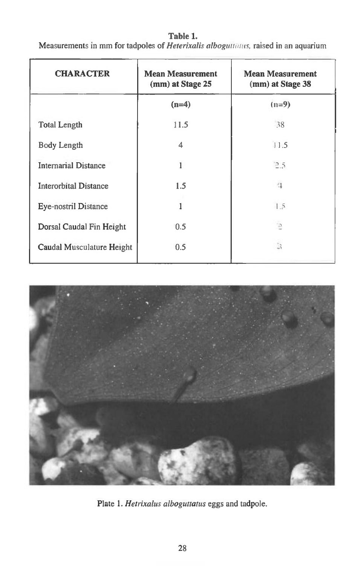| <b>CHARACTER</b>             | <b>Mean Measurement</b><br>(mm) at Stage 25 | <b>Mean Measurement</b><br>(mm) at Stage 38 |
|------------------------------|---------------------------------------------|---------------------------------------------|
|                              | $(n=4)$                                     | $(n=9)$                                     |
| <b>Total Length</b>          | 11.5                                        | 38                                          |
| <b>Body Length</b>           | 4                                           | 11.5                                        |
| <b>Internarial Distance</b>  | L                                           | 2.5                                         |
| <b>Interorbital Distance</b> | 1.5                                         | $^{4}$                                      |
| <b>Eye-nostril Distance</b>  |                                             | 1.5                                         |
| Dorsal Caudal Fin Height     | 0.5                                         | $\supseteq$                                 |
| Caudal Musculature Height    | 0.5                                         | В                                           |

**Table 1.**  Measurements in mm for tadpoles of *Heterixalis alboguttatus*, raised in an aquarium



Plate 1. *Hetrixalus alboguttatus* eggs and tadpole.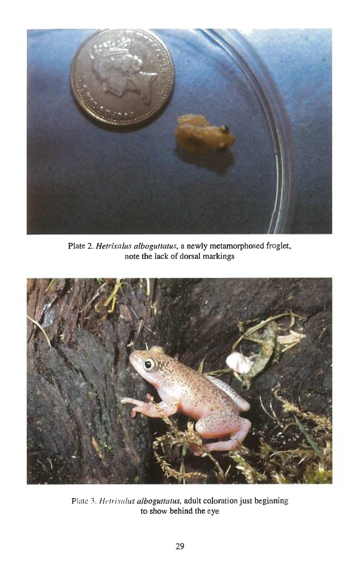

Plate 2. *Hetrixalus alboguttatus,* a newly metamorphosed froglet, note the lack of dorsal markings



Plate 3. *Hetrixalus alboguttatus*, adult coloration just beginning to show behind the eye